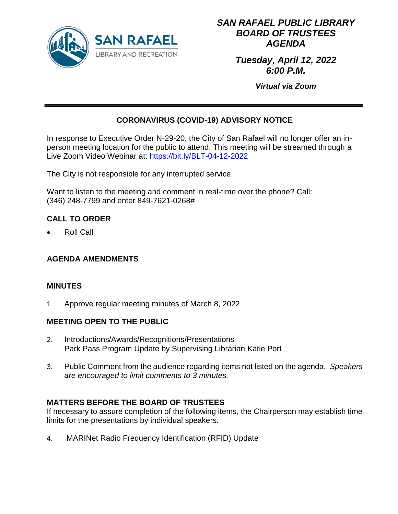

# *SAN RAFAEL PUBLIC LIBRARY BOARD OF TRUSTEES AGENDA*

*Tuesday, April 12, 2022 6:00 P.M.*

*Virtual via Zoom*

# **CORONAVIRUS (COVID-19) ADVISORY NOTICE**

In response to Executive Order N-29-20, the City of San Rafael will no longer offer an inperson meeting location for the public to attend. This meeting will be streamed through a Live Zoom Video Webinar at: https://bit.ly/BLT-04-12-2022

The City is not responsible for any interrupted service.

Want to listen to the meeting and comment in real-time over the phone? Call: (346) 248-7799 and enter 849-7621-0268#

# **CALL TO ORDER**

• Roll Call

### **AGENDA AMENDMENTS**

### **MINUTES**

1. Approve regular meeting minutes of March 8, 2022

### **MEETING OPEN TO THE PUBLIC**

- 2. Introductions/Awards/Recognitions/Presentations Park Pass Program Update by Supervising Librarian Katie Port
- 3. Public Comment from the audience regarding items not listed on the agenda. *Speakers are encouraged to limit comments to 3 minutes.*

### **MATTERS BEFORE THE BOARD OF TRUSTEES**

If necessary to assure completion of the following items, the Chairperson may establish time limits for the presentations by individual speakers.

4. MARINet Radio Frequency Identification (RFID) Update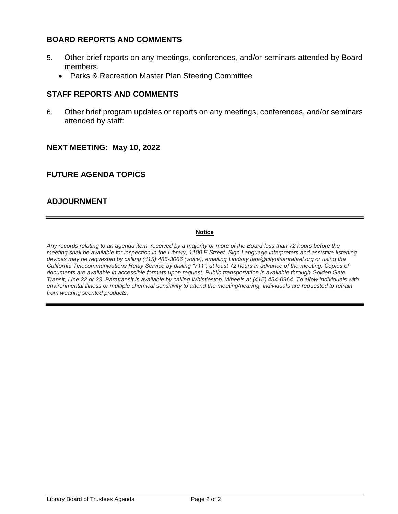### **BOARD REPORTS AND COMMENTS**

- 5. Other brief reports on any meetings, conferences, and/or seminars attended by Board members.
	- Parks & Recreation Master Plan Steering Committee

### **STAFF REPORTS AND COMMENTS**

6. Other brief program updates or reports on any meetings, conferences, and/or seminars attended by staff:

### **NEXT MEETING: May 10, 2022**

### **FUTURE AGENDA TOPICS**

### **ADJOURNMENT**

#### **Notice**

*Any records relating to an agenda item, received by a majority or more of the Board less than 72 hours before the meeting shall be available for inspection in the Library, 1100 E Street. Sign Language interpreters and assistive listening devices may be requested by calling (415) 485-3066 (voice), emailing Lindsay.lara@cityofsanrafael.org or using the California Telecommunications Relay Service by dialing "711", at least 72 hours in advance of the meeting. Copies of documents are available in accessible formats upon request. Public transportation is available through Golden Gate Transit, Line 22 or 23. Paratransit is available by calling Whistlestop. Wheels at (415) 454-0964. To allow individuals with environmental illness or multiple chemical sensitivity to attend the meeting/hearing, individuals are requested to refrain from wearing scented products.*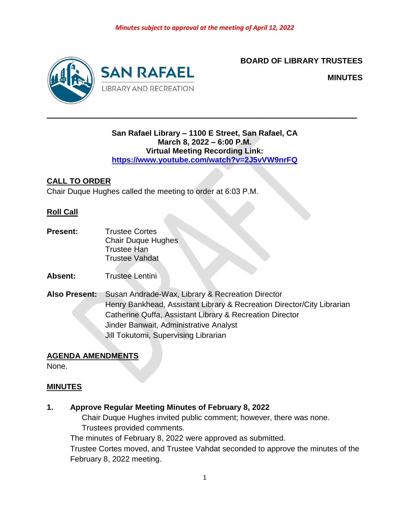

### **BOARD OF LIBRARY TRUSTEES**

**MINUTES**

### **San Rafael Library – 1100 E Street, San Rafael, CA March 8, 2022 – 6:00 P.M. Virtual Meeting Recording Link: <https://www.youtube.com/watch?v=2J5vVW9nrFQ>**

**\_\_\_\_\_\_\_\_\_\_\_\_\_\_\_\_\_\_\_\_\_\_\_\_\_\_\_\_\_\_\_\_\_\_\_\_\_\_\_\_\_\_\_\_\_\_\_\_\_\_\_\_\_\_\_\_**

### **CALL TO ORDER**

Chair Duque Hughes called the meeting to order at 6:03 P.M.

### **Roll Call**

- **Present:** Trustee Cortes Chair Duque Hughes Trustee Han Trustee Vahdat
- **Absent:** Trustee Lentini
- **Also Present:** Susan Andrade-Wax, Library & Recreation Director Henry Bankhead, Assistant Library & Recreation Director/City Librarian Catherine Quffa, Assistant Library & Recreation Director Jinder Banwait, Administrative Analyst Jill Tokutomi, Supervising Librarian

### **AGENDA AMENDMENTS**

None.

### **MINUTES**

### **1. Approve Regular Meeting Minutes of February 8, 2022**

Chair Duque Hughes invited public comment; however, there was none. Trustees provided comments.

The minutes of February 8, 2022 were approved as submitted.

Trustee Cortes moved, and Trustee Vahdat seconded to approve the minutes of the February 8, 2022 meeting.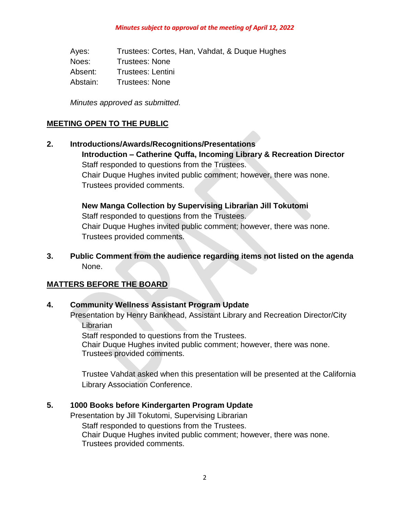Ayes: Trustees: Cortes, Han, Vahdat, & Duque Hughes Noes: Trustees: None Absent: Trustees: Lentini Abstain: Trustees: None

*Minutes approved as submitted.*

### **MEETING OPEN TO THE PUBLIC**

**2. Introductions/Awards/Recognitions/Presentations Introduction – Catherine Quffa, Incoming Library & Recreation Director** Staff responded to questions from the Trustees. Chair Duque Hughes invited public comment; however, there was none. Trustees provided comments.

> **New Manga Collection by Supervising Librarian Jill Tokutomi** Staff responded to questions from the Trustees. Chair Duque Hughes invited public comment; however, there was none. Trustees provided comments.

**3. Public Comment from the audience regarding items not listed on the agenda** None.

### **MATTERS BEFORE THE BOARD**

### **4. Community Wellness Assistant Program Update**

Presentation by Henry Bankhead, Assistant Library and Recreation Director/City Librarian

Staff responded to questions from the Trustees. Chair Duque Hughes invited public comment; however, there was none. Trustees provided comments.

Trustee Vahdat asked when this presentation will be presented at the California Library Association Conference.

### **5. 1000 Books before Kindergarten Program Update**

Presentation by Jill Tokutomi, Supervising Librarian Staff responded to questions from the Trustees. Chair Duque Hughes invited public comment; however, there was none. Trustees provided comments.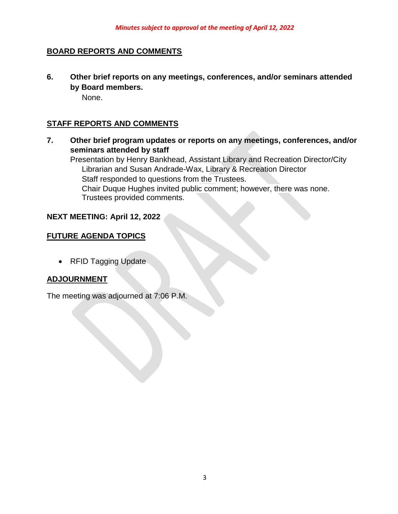### **BOARD REPORTS AND COMMENTS**

**6. Other brief reports on any meetings, conferences, and/or seminars attended by Board members.**

None.

### **STAFF REPORTS AND COMMENTS**

**7. Other brief program updates or reports on any meetings, conferences, and/or seminars attended by staff**

Presentation by Henry Bankhead, Assistant Library and Recreation Director/City Librarian and Susan Andrade-Wax, Library & Recreation Director Staff responded to questions from the Trustees. Chair Duque Hughes invited public comment; however, there was none. Trustees provided comments.

### **NEXT MEETING: April 12, 2022**

### **FUTURE AGENDA TOPICS**

• RFID Tagging Update

### **ADJOURNMENT**

The meeting was adjourned at 7:06 P.M.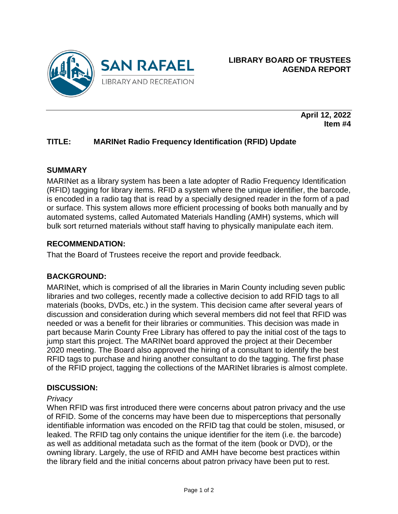

**April 12, 2022 Item #4**

## **TITLE: MARINet Radio Frequency Identification (RFID) Update**

#### **SUMMARY**

MARINet as a library system has been a late adopter of Radio Frequency Identification (RFID) tagging for library items. RFID a system where the unique identifier, the barcode, is encoded in a radio tag that is read by a specially designed reader in the form of a pad or surface. This system allows more efficient processing of books both manually and by automated systems, called Automated Materials Handling (AMH) systems, which will bulk sort returned materials without staff having to physically manipulate each item.

### **RECOMMENDATION:**

That the Board of Trustees receive the report and provide feedback.

### **BACKGROUND:**

MARINet, which is comprised of all the libraries in Marin County including seven public libraries and two colleges, recently made a collective decision to add RFID tags to all materials (books, DVDs, etc.) in the system. This decision came after several years of discussion and consideration during which several members did not feel that RFID was needed or was a benefit for their libraries or communities. This decision was made in part because Marin County Free Library has offered to pay the initial cost of the tags to jump start this project. The MARINet board approved the project at their December 2020 meeting. The Board also approved the hiring of a consultant to identify the best RFID tags to purchase and hiring another consultant to do the tagging. The first phase of the RFID project, tagging the collections of the MARINet libraries is almost complete.

#### **DISCUSSION:**

#### *Privacy*

When RFID was first introduced there were concerns about patron privacy and the use of RFID. Some of the concerns may have been due to misperceptions that personally identifiable information was encoded on the RFID tag that could be stolen, misused, or leaked. The RFID tag only contains the unique identifier for the item (i.e. the barcode) as well as additional metadata such as the format of the item (book or DVD), or the owning library. Largely, the use of RFID and AMH have become best practices within the library field and the initial concerns about patron privacy have been put to rest.